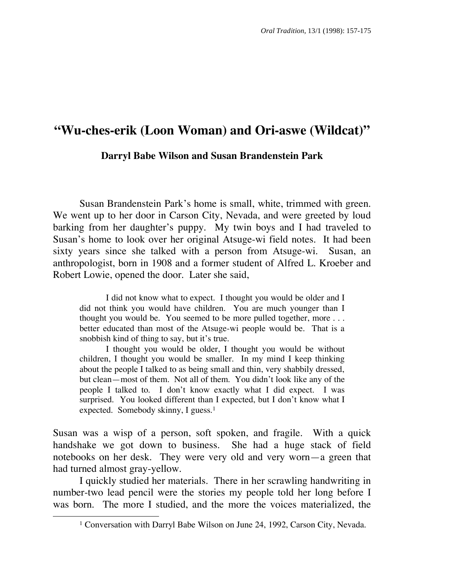# **"Wu-ches-erik (Loon Woman) and Ori-aswe (Wildcat)"**

## **Darryl Babe Wilson and Susan Brandenstein Park**

 Susan Brandenstein Park's home is small, white, trimmed with green. We went up to her door in Carson City, Nevada, and were greeted by loud barking from her daughter's puppy. My twin boys and I had traveled to Susan's home to look over her original Atsuge-wi field notes. It had been sixty years since she talked with a person from Atsuge-wi. Susan, an anthropologist, born in 1908 and a former student of Alfred L. Kroeber and Robert Lowie, opened the door. Later she said,

I did not know what to expect. I thought you would be older and I did not think you would have children. You are much younger than I thought you would be. You seemed to be more pulled together, more . . . better educated than most of the Atsuge-wi people would be. That is a snobbish kind of thing to say, but it's true.

 I thought you would be older, I thought you would be without children, I thought you would be smaller. In my mind I keep thinking about the people I talked to as being small and thin, very shabbily dressed, but clean—most of them. Not all of them. You didn't look like any of the people I talked to. I don't know exactly what I did expect. I was surprised. You looked different than I expected, but I don't know what I expected. Somebody skinny, I guess.<sup>1</sup>

Susan was a wisp of a person, soft spoken, and fragile. With a quick handshake we got down to business. She had a huge stack of field notebooks on her desk. They were very old and very worn—a green that had turned almost gray-yellow.

 I quickly studied her materials. There in her scrawling handwriting in number-two lead pencil were the stories my people told her long before I was born. The more I studied, and the more the voices materialized, the

<sup>&</sup>lt;sup>1</sup> Conversation with Darryl Babe Wilson on June 24, 1992, Carson City, Nevada.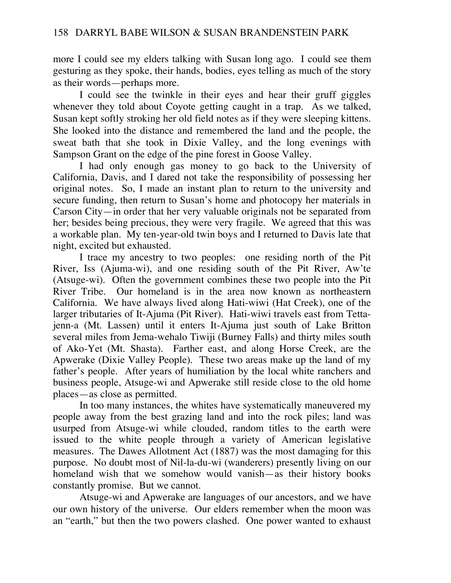more I could see my elders talking with Susan long ago. I could see them gesturing as they spoke, their hands, bodies, eyes telling as much of the story as their words—perhaps more.

 I could see the twinkle in their eyes and hear their gruff giggles whenever they told about Coyote getting caught in a trap. As we talked, Susan kept softly stroking her old field notes as if they were sleeping kittens. She looked into the distance and remembered the land and the people, the sweat bath that she took in Dixie Valley, and the long evenings with Sampson Grant on the edge of the pine forest in Goose Valley.

 I had only enough gas money to go back to the University of California, Davis, and I dared not take the responsibility of possessing her original notes. So, I made an instant plan to return to the university and secure funding, then return to Susan's home and photocopy her materials in Carson City—in order that her very valuable originals not be separated from her; besides being precious, they were very fragile. We agreed that this was a workable plan. My ten-year-old twin boys and I returned to Davis late that night, excited but exhausted.

 I trace my ancestry to two peoples: one residing north of the Pit River, Iss (Ajuma-wi), and one residing south of the Pit River, Aw'te (Atsuge-wi). Often the government combines these two people into the Pit River Tribe. Our homeland is in the area now known as northeastern California. We have always lived along Hati-wiwi (Hat Creek), one of the larger tributaries of It-Ajuma (Pit River). Hati-wiwi travels east from Tettajenn-a (Mt. Lassen) until it enters It-Ajuma just south of Lake Britton several miles from Jema-wehalo Tiwiji (Burney Falls) and thirty miles south of Ako-Yet (Mt. Shasta). Farther east, and along Horse Creek, are the Apwerake (Dixie Valley People). These two areas make up the land of my father's people. After years of humiliation by the local white ranchers and business people, Atsuge-wi and Apwerake still reside close to the old home places—as close as permitted.

 In too many instances, the whites have systematically maneuvered my people away from the best grazing land and into the rock piles; land was usurped from Atsuge-wi while clouded, random titles to the earth were issued to the white people through a variety of American legislative measures. The Dawes Allotment Act (1887) was the most damaging for this purpose. No doubt most of Nil-la-du-wi (wanderers) presently living on our homeland wish that we somehow would vanish—as their history books constantly promise. But we cannot.

 Atsuge-wi and Apwerake are languages of our ancestors, and we have our own history of the universe. Our elders remember when the moon was an "earth," but then the two powers clashed. One power wanted to exhaust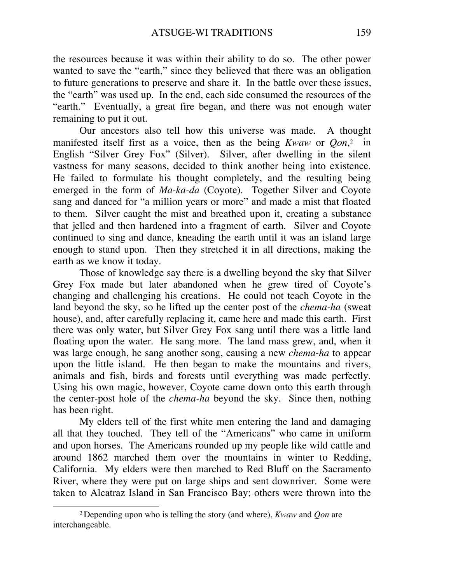the resources because it was within their ability to do so. The other power wanted to save the "earth," since they believed that there was an obligation to future generations to preserve and share it. In the battle over these issues, the "earth" was used up. In the end, each side consumed the resources of the "earth." Eventually, a great fire began, and there was not enough water remaining to put it out.

 Our ancestors also tell how this universe was made. A thought manifested itself first as a voice, then as the being *Kwaw* or *Qon*,2 in English "Silver Grey Fox" (Silver). Silver, after dwelling in the silent vastness for many seasons, decided to think another being into existence. He failed to formulate his thought completely, and the resulting being emerged in the form of *Ma-ka-da* (Coyote). Together Silver and Coyote sang and danced for "a million years or more" and made a mist that floated to them. Silver caught the mist and breathed upon it, creating a substance that jelled and then hardened into a fragment of earth. Silver and Coyote continued to sing and dance, kneading the earth until it was an island large enough to stand upon. Then they stretched it in all directions, making the earth as we know it today.

 Those of knowledge say there is a dwelling beyond the sky that Silver Grey Fox made but later abandoned when he grew tired of Coyote's changing and challenging his creations. He could not teach Coyote in the land beyond the sky, so he lifted up the center post of the *chema-ha* (sweat house), and, after carefully replacing it, came here and made this earth. First there was only water, but Silver Grey Fox sang until there was a little land floating upon the water. He sang more. The land mass grew, and, when it was large enough, he sang another song, causing a new *chema-ha* to appear upon the little island. He then began to make the mountains and rivers, animals and fish, birds and forests until everything was made perfectly. Using his own magic, however, Coyote came down onto this earth through the center-post hole of the *chema-ha* beyond the sky. Since then, nothing has been right.

 My elders tell of the first white men entering the land and damaging all that they touched. They tell of the "Americans" who came in uniform and upon horses. The Americans rounded up my people like wild cattle and around 1862 marched them over the mountains in winter to Redding, California. My elders were then marched to Red Bluff on the Sacramento River, where they were put on large ships and sent downriver. Some were taken to Alcatraz Island in San Francisco Bay; others were thrown into the

 $\overline{\phantom{a}}$ 

<sup>2</sup> Depending upon who is telling the story (and where), *Kwaw* and *Qon* are interchangeable.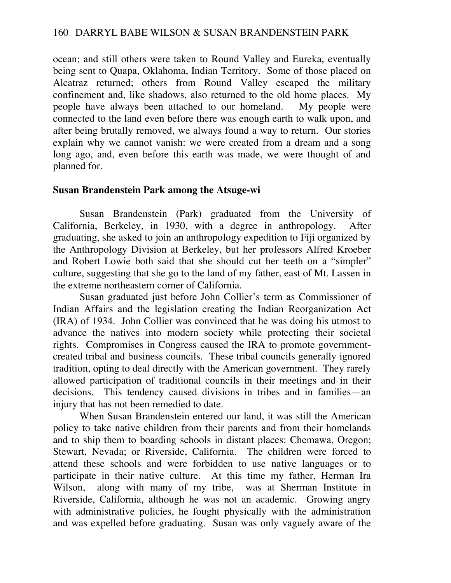ocean; and still others were taken to Round Valley and Eureka, eventually being sent to Quapa, Oklahoma, Indian Territory. Some of those placed on Alcatraz returned; others from Round Valley escaped the military confinement and, like shadows, also returned to the old home places. My people have always been attached to our homeland. My people were connected to the land even before there was enough earth to walk upon, and after being brutally removed, we always found a way to return. Our stories explain why we cannot vanish: we were created from a dream and a song long ago, and, even before this earth was made, we were thought of and planned for.

# **Susan Brandenstein Park among the Atsuge-wi**

 Susan Brandenstein (Park) graduated from the University of California, Berkeley, in 1930, with a degree in anthropology. After graduating, she asked to join an anthropology expedition to Fiji organized by the Anthropology Division at Berkeley, but her professors Alfred Kroeber and Robert Lowie both said that she should cut her teeth on a "simpler" culture, suggesting that she go to the land of my father, east of Mt. Lassen in the extreme northeastern corner of California.

 Susan graduated just before John Collier's term as Commissioner of Indian Affairs and the legislation creating the Indian Reorganization Act (IRA) of 1934. John Collier was convinced that he was doing his utmost to advance the natives into modern society while protecting their societal rights. Compromises in Congress caused the IRA to promote governmentcreated tribal and business councils. These tribal councils generally ignored tradition, opting to deal directly with the American government. They rarely allowed participation of traditional councils in their meetings and in their decisions. This tendency caused divisions in tribes and in families—an injury that has not been remedied to date.

 When Susan Brandenstein entered our land, it was still the American policy to take native children from their parents and from their homelands and to ship them to boarding schools in distant places: Chemawa, Oregon; Stewart, Nevada; or Riverside, California. The children were forced to attend these schools and were forbidden to use native languages or to participate in their native culture. At this time my father, Herman Ira Wilson, along with many of my tribe, was at Sherman Institute in Riverside, California, although he was not an academic. Growing angry with administrative policies, he fought physically with the administration and was expelled before graduating. Susan was only vaguely aware of the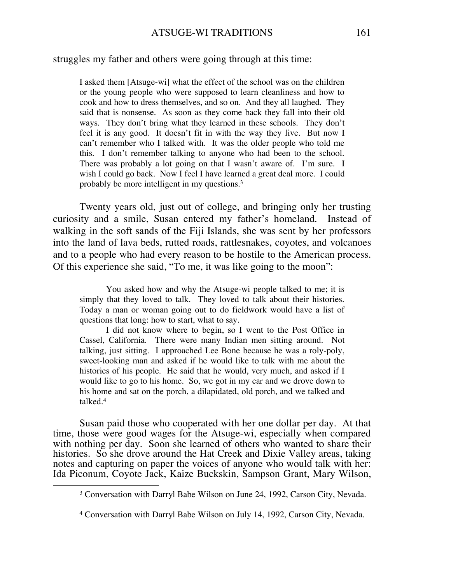struggles my father and others were going through at this time:

I asked them [Atsuge-wi] what the effect of the school was on the children or the young people who were supposed to learn cleanliness and how to cook and how to dress themselves, and so on. And they all laughed. They said that is nonsense. As soon as they come back they fall into their old ways. They don't bring what they learned in these schools. They don't feel it is any good. It doesn't fit in with the way they live. But now I can't remember who I talked with. It was the older people who told me this. I don't remember talking to anyone who had been to the school. There was probably a lot going on that I wasn't aware of. I'm sure. I wish I could go back. Now I feel I have learned a great deal more. I could probably be more intelligent in my questions.3

 Twenty years old, just out of college, and bringing only her trusting curiosity and a smile, Susan entered my father's homeland. Instead of walking in the soft sands of the Fiji Islands, she was sent by her professors into the land of lava beds, rutted roads, rattlesnakes, coyotes, and volcanoes and to a people who had every reason to be hostile to the American process. Of this experience she said, "To me, it was like going to the moon":

 You asked how and why the Atsuge-wi people talked to me; it is simply that they loved to talk. They loved to talk about their histories. Today a man or woman going out to do fieldwork would have a list of questions that long: how to start, what to say.

 I did not know where to begin, so I went to the Post Office in Cassel, California. There were many Indian men sitting around. Not talking, just sitting. I approached Lee Bone because he was a roly-poly, sweet-looking man and asked if he would like to talk with me about the histories of his people. He said that he would, very much, and asked if I would like to go to his home. So, we got in my car and we drove down to his home and sat on the porch, a dilapidated, old porch, and we talked and talked.4

 Susan paid those who cooperated with her one dollar per day. At that time, those were good wages for the Atsuge-wi, especially when compared with nothing per day. Soon she learned of others who wanted to share their histories. So she drove around the Hat Creek and Dixie Valley areas, taking notes and capturing on paper the voices of anyone who would talk with her: Ida Piconum, Coyote Jack, Kaize Buckskin, Sampson Grant, Mary Wilson,

<sup>3</sup> Conversation with Darryl Babe Wilson on June 24, 1992, Carson City, Nevada.

<sup>4</sup> Conversation with Darryl Babe Wilson on July 14, 1992, Carson City, Nevada.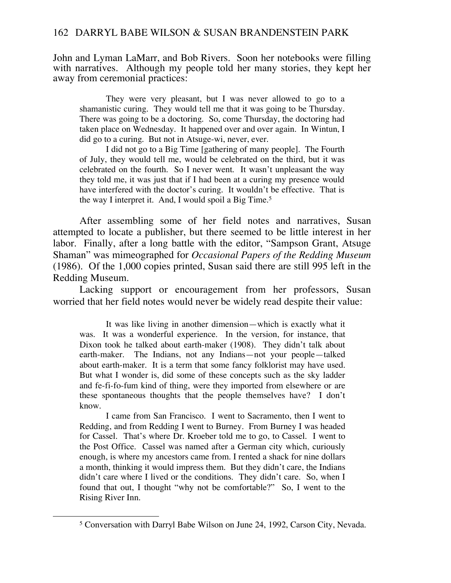John and Lyman LaMarr, and Bob Rivers. Soon her notebooks were filling with narratives. Although my people told her many stories, they kept her away from ceremonial practices:

 They were very pleasant, but I was never allowed to go to a shamanistic curing. They would tell me that it was going to be Thursday. There was going to be a doctoring. So, come Thursday, the doctoring had taken place on Wednesday. It happened over and over again. In Wintun, I did go to a curing. But not in Atsuge-wi, never, ever.

 I did not go to a Big Time [gathering of many people]. The Fourth of July, they would tell me, would be celebrated on the third, but it was celebrated on the fourth. So I never went. It wasn't unpleasant the way they told me, it was just that if I had been at a curing my presence would have interfered with the doctor's curing. It wouldn't be effective. That is the way I interpret it. And, I would spoil a Big Time.<sup>5</sup>

 After assembling some of her field notes and narratives, Susan attempted to locate a publisher, but there seemed to be little interest in her labor. Finally, after a long battle with the editor, "Sampson Grant, Atsuge Shaman" was mimeographed for *Occasional Papers of the Redding Museum* (1986). Of the 1,000 copies printed, Susan said there are still 995 left in the Redding Museum.

 Lacking support or encouragement from her professors, Susan worried that her field notes would never be widely read despite their value:

 It was like living in another dimension—which is exactly what it was. It was a wonderful experience. In the version, for instance, that Dixon took he talked about earth-maker (1908). They didn't talk about earth-maker. The Indians, not any Indians—not your people—talked about earth-maker. It is a term that some fancy folklorist may have used. But what I wonder is, did some of these concepts such as the sky ladder and fe-fi-fo-fum kind of thing, were they imported from elsewhere or are these spontaneous thoughts that the people themselves have? I don't know.

 I came from San Francisco. I went to Sacramento, then I went to Redding, and from Redding I went to Burney. From Burney I was headed for Cassel. That's where Dr. Kroeber told me to go, to Cassel. I went to the Post Office. Cassel was named after a German city which, curiously enough, is where my ancestors came from. I rented a shack for nine dollars a month, thinking it would impress them. But they didn't care, the Indians didn't care where I lived or the conditions. They didn't care. So, when I found that out, I thought "why not be comfortable?" So, I went to the Rising River Inn.

<sup>5</sup> Conversation with Darryl Babe Wilson on June 24, 1992, Carson City, Nevada.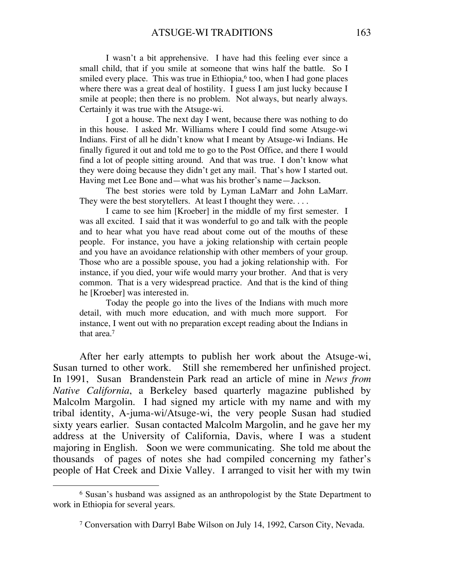I wasn't a bit apprehensive. I have had this feeling ever since a small child, that if you smile at someone that wins half the battle. So I smiled every place. This was true in Ethiopia, $6$  too, when I had gone places where there was a great deal of hostility. I guess I am just lucky because I smile at people; then there is no problem. Not always, but nearly always. Certainly it was true with the Atsuge-wi.

 I got a house. The next day I went, because there was nothing to do in this house. I asked Mr. Williams where I could find some Atsuge-wi Indians. First of all he didn't know what I meant by Atsuge-wi Indians. He finally figured it out and told me to go to the Post Office, and there I would find a lot of people sitting around. And that was true. I don't know what they were doing because they didn't get any mail. That's how I started out. Having met Lee Bone and—what was his brother's name—Jackson.

 The best stories were told by Lyman LaMarr and John LaMarr. They were the best storytellers. At least I thought they were....

 I came to see him [Kroeber] in the middle of my first semester. I was all excited. I said that it was wonderful to go and talk with the people and to hear what you have read about come out of the mouths of these people. For instance, you have a joking relationship with certain people and you have an avoidance relationship with other members of your group. Those who are a possible spouse, you had a joking relationship with. For instance, if you died, your wife would marry your brother. And that is very common. That is a very widespread practice. And that is the kind of thing he [Kroeber] was interested in.

 Today the people go into the lives of the Indians with much more detail, with much more education, and with much more support. For instance, I went out with no preparation except reading about the Indians in that area.7

 After her early attempts to publish her work about the Atsuge-wi, Susan turned to other work. Still she remembered her unfinished project. In 1991, Susan Brandenstein Park read an article of mine in *News from Native California*, a Berkeley based quarterly magazine published by Malcolm Margolin. I had signed my article with my name and with my tribal identity, A-juma-wi/Atsuge-wi, the very people Susan had studied sixty years earlier. Susan contacted Malcolm Margolin, and he gave her my address at the University of California, Davis, where I was a student majoring in English. Soon we were communicating. She told me about the thousands of pages of notes she had compiled concerning my father's people of Hat Creek and Dixie Valley. I arranged to visit her with my twin

<sup>6</sup> Susan's husband was assigned as an anthropologist by the State Department to work in Ethiopia for several years.

<sup>7</sup> Conversation with Darryl Babe Wilson on July 14, 1992, Carson City, Nevada.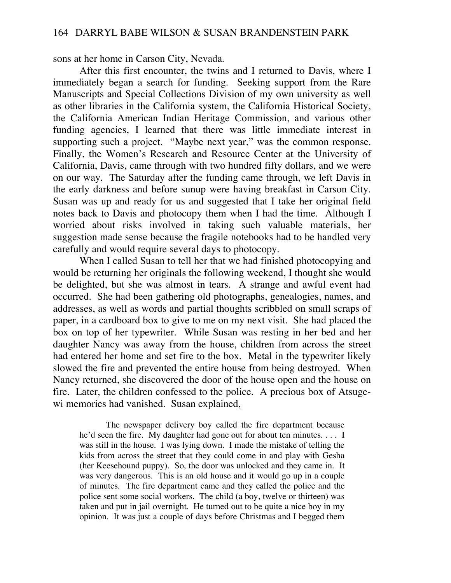sons at her home in Carson City, Nevada.

 After this first encounter, the twins and I returned to Davis, where I immediately began a search for funding. Seeking support from the Rare Manuscripts and Special Collections Division of my own university as well as other libraries in the California system, the California Historical Society, the California American Indian Heritage Commission, and various other funding agencies, I learned that there was little immediate interest in supporting such a project. "Maybe next year," was the common response. Finally, the Women's Research and Resource Center at the University of California, Davis, came through with two hundred fifty dollars, and we were on our way. The Saturday after the funding came through, we left Davis in the early darkness and before sunup were having breakfast in Carson City. Susan was up and ready for us and suggested that I take her original field notes back to Davis and photocopy them when I had the time. Although I worried about risks involved in taking such valuable materials, her suggestion made sense because the fragile notebooks had to be handled very carefully and would require several days to photocopy.

 When I called Susan to tell her that we had finished photocopying and would be returning her originals the following weekend, I thought she would be delighted, but she was almost in tears. A strange and awful event had occurred. She had been gathering old photographs, genealogies, names, and addresses, as well as words and partial thoughts scribbled on small scraps of paper, in a cardboard box to give to me on my next visit. She had placed the box on top of her typewriter. While Susan was resting in her bed and her daughter Nancy was away from the house, children from across the street had entered her home and set fire to the box. Metal in the typewriter likely slowed the fire and prevented the entire house from being destroyed. When Nancy returned, she discovered the door of the house open and the house on fire. Later, the children confessed to the police. A precious box of Atsugewi memories had vanished. Susan explained,

 The newspaper delivery boy called the fire department because he'd seen the fire. My daughter had gone out for about ten minutes. . . . I was still in the house. I was lying down. I made the mistake of telling the kids from across the street that they could come in and play with Gesha (her Keesehound puppy). So, the door was unlocked and they came in. It was very dangerous. This is an old house and it would go up in a couple of minutes. The fire department came and they called the police and the police sent some social workers. The child (a boy, twelve or thirteen) was taken and put in jail overnight. He turned out to be quite a nice boy in my opinion. It was just a couple of days before Christmas and I begged them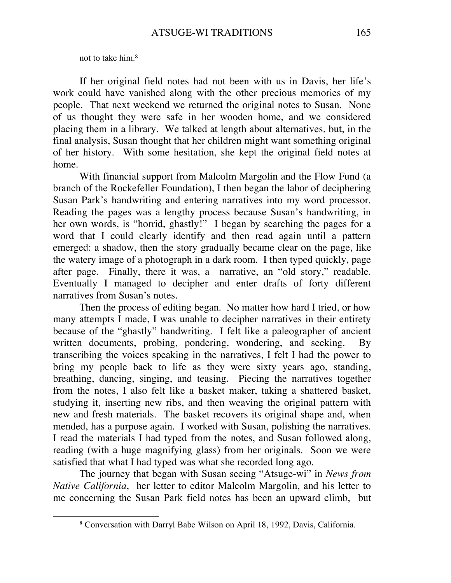not to take him.8

 $\overline{a}$ 

 If her original field notes had not been with us in Davis, her life's work could have vanished along with the other precious memories of my people. That next weekend we returned the original notes to Susan. None of us thought they were safe in her wooden home, and we considered placing them in a library. We talked at length about alternatives, but, in the final analysis, Susan thought that her children might want something original of her history. With some hesitation, she kept the original field notes at home.

 With financial support from Malcolm Margolin and the Flow Fund (a branch of the Rockefeller Foundation), I then began the labor of deciphering Susan Park's handwriting and entering narratives into my word processor. Reading the pages was a lengthy process because Susan's handwriting, in her own words, is "horrid, ghastly!" I began by searching the pages for a word that I could clearly identify and then read again until a pattern emerged: a shadow, then the story gradually became clear on the page, like the watery image of a photograph in a dark room. I then typed quickly, page after page. Finally, there it was, a narrative, an "old story," readable. Eventually I managed to decipher and enter drafts of forty different narratives from Susan's notes.

 Then the process of editing began. No matter how hard I tried, or how many attempts I made, I was unable to decipher narratives in their entirety because of the "ghastly" handwriting. I felt like a paleographer of ancient written documents, probing, pondering, wondering, and seeking. By transcribing the voices speaking in the narratives, I felt I had the power to bring my people back to life as they were sixty years ago, standing, breathing, dancing, singing, and teasing. Piecing the narratives together from the notes, I also felt like a basket maker, taking a shattered basket, studying it, inserting new ribs, and then weaving the original pattern with new and fresh materials. The basket recovers its original shape and, when mended, has a purpose again. I worked with Susan, polishing the narratives. I read the materials I had typed from the notes, and Susan followed along, reading (with a huge magnifying glass) from her originals. Soon we were satisfied that what I had typed was what she recorded long ago.

 The journey that began with Susan seeing "Atsuge-wi" in *News from Native California*, her letter to editor Malcolm Margolin, and his letter to me concerning the Susan Park field notes has been an upward climb, but

<sup>8</sup> Conversation with Darryl Babe Wilson on April 18, 1992, Davis, California.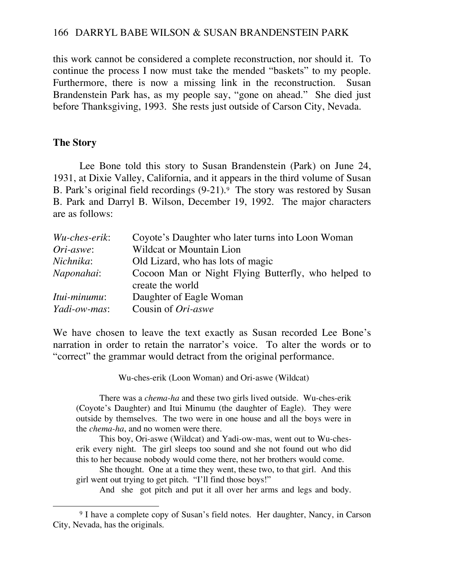this work cannot be considered a complete reconstruction, nor should it. To continue the process I now must take the mended "baskets" to my people. Furthermore, there is now a missing link in the reconstruction. Susan Brandenstein Park has, as my people say, "gone on ahead." She died just before Thanksgiving, 1993. She rests just outside of Carson City, Nevada.

# **The Story**

 $\overline{\phantom{a}}$ 

 Lee Bone told this story to Susan Brandenstein (Park) on June 24, 1931, at Dixie Valley, California, and it appears in the third volume of Susan B. Park's original field recordings (9-21).<sup>9</sup> The story was restored by Susan B. Park and Darryl B. Wilson, December 19, 1992. The major characters are as follows:

| Wu-ches-erik:       | Coyote's Daughter who later turns into Loon Woman                       |
|---------------------|-------------------------------------------------------------------------|
| Ori-aswe:           | <b>Wildcat or Mountain Lion</b>                                         |
| Nichnika:           | Old Lizard, who has lots of magic                                       |
| Naponahai:          | Cocoon Man or Night Flying Butterfly, who helped to<br>create the world |
|                     |                                                                         |
| Itui-minumu:        | Daughter of Eagle Woman                                                 |
| <i>Yadi-ow-mas:</i> | Cousin of <i>Ori-aswe</i>                                               |

We have chosen to leave the text exactly as Susan recorded Lee Bone's narration in order to retain the narrator's voice. To alter the words or to "correct" the grammar would detract from the original performance.

Wu-ches-erik (Loon Woman) and Ori-aswe (Wildcat)

 There was a *chema-ha* and these two girls lived outside. Wu-ches-erik (Coyote's Daughter) and Itui Minumu (the daughter of Eagle). They were outside by themselves. The two were in one house and all the boys were in the *chema-ha*, and no women were there.

 This boy, Ori-aswe (Wildcat) and Yadi-ow-mas, went out to Wu-cheserik every night. The girl sleeps too sound and she not found out who did this to her because nobody would come there, not her brothers would come.

 She thought. One at a time they went, these two, to that girl. And this girl went out trying to get pitch. "I'll find those boys!"

And she got pitch and put it all over her arms and legs and body.

<sup>&</sup>lt;sup>9</sup> I have a complete copy of Susan's field notes. Her daughter, Nancy, in Carson City, Nevada, has the originals.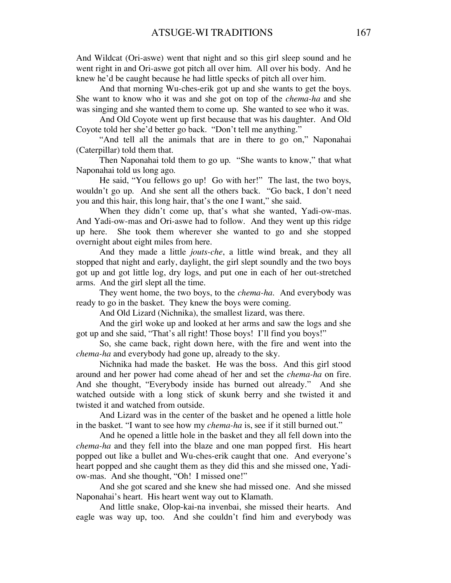And Wildcat (Ori-aswe) went that night and so this girl sleep sound and he went right in and Ori-aswe got pitch all over him. All over his body. And he knew he'd be caught because he had little specks of pitch all over him.

 And that morning Wu-ches-erik got up and she wants to get the boys. She want to know who it was and she got on top of the *chema-ha* and she was singing and she wanted them to come up. She wanted to see who it was.

 And Old Coyote went up first because that was his daughter. And Old Coyote told her she'd better go back. "Don't tell me anything."

 "And tell all the animals that are in there to go on," Naponahai (Caterpillar) told them that.

 Then Naponahai told them to go up. "She wants to know," that what Naponahai told us long ago.

 He said, "You fellows go up! Go with her!" The last, the two boys, wouldn't go up. And she sent all the others back. "Go back, I don't need you and this hair, this long hair, that's the one I want," she said.

 When they didn't come up, that's what she wanted, Yadi-ow-mas. And Yadi-ow-mas and Ori-aswe had to follow. And they went up this ridge up here. She took them wherever she wanted to go and she stopped overnight about eight miles from here.

 And they made a little *jouts-che*, a little wind break, and they all stopped that night and early, daylight, the girl slept soundly and the two boys got up and got little log, dry logs, and put one in each of her out-stretched arms. And the girl slept all the time.

 They went home, the two boys, to the *chema-ha*. And everybody was ready to go in the basket. They knew the boys were coming.

And Old Lizard (Nichnika), the smallest lizard, was there.

 And the girl woke up and looked at her arms and saw the logs and she got up and she said, "That's all right! Those boys! I'll find you boys!"

 So, she came back, right down here, with the fire and went into the *chema-ha* and everybody had gone up, already to the sky.

 Nichnika had made the basket. He was the boss. And this girl stood around and her power had come ahead of her and set the *chema-ha* on fire. And she thought, "Everybody inside has burned out already." And she watched outside with a long stick of skunk berry and she twisted it and twisted it and watched from outside.

 And Lizard was in the center of the basket and he opened a little hole in the basket. "I want to see how my *chema-ha* is, see if it still burned out."

 And he opened a little hole in the basket and they all fell down into the *chema-ha* and they fell into the blaze and one man popped first. His heart popped out like a bullet and Wu-ches-erik caught that one. And everyone's heart popped and she caught them as they did this and she missed one, Yadiow-mas. And she thought, "Oh! I missed one!"

 And she got scared and she knew she had missed one. And she missed Naponahai's heart. His heart went way out to Klamath.

 And little snake, Olop-kai-na invenbai, she missed their hearts. And eagle was way up, too. And she couldn't find him and everybody was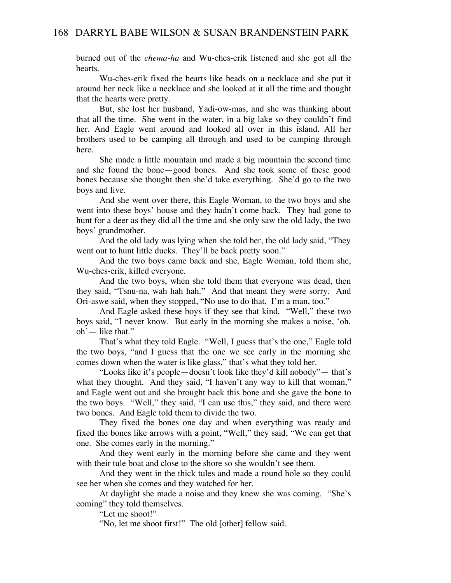burned out of the *chema-ha* and Wu-ches-erik listened and she got all the hearts.

 Wu-ches-erik fixed the hearts like beads on a necklace and she put it around her neck like a necklace and she looked at it all the time and thought that the hearts were pretty.

 But, she lost her husband, Yadi-ow-mas, and she was thinking about that all the time. She went in the water, in a big lake so they couldn't find her. And Eagle went around and looked all over in this island. All her brothers used to be camping all through and used to be camping through here.

 She made a little mountain and made a big mountain the second time and she found the bone—good bones. And she took some of these good bones because she thought then she'd take everything. She'd go to the two boys and live.

 And she went over there, this Eagle Woman, to the two boys and she went into these boys' house and they hadn't come back. They had gone to hunt for a deer as they did all the time and she only saw the old lady, the two boys' grandmother.

 And the old lady was lying when she told her, the old lady said, "They went out to hunt little ducks. They'll be back pretty soon."

 And the two boys came back and she, Eagle Woman, told them she, Wu-ches-erik, killed everyone.

 And the two boys, when she told them that everyone was dead, then they said, "Tsnu-na, wah hah hah." And that meant they were sorry. And Ori-aswe said, when they stopped, "No use to do that. I'm a man, too."

 And Eagle asked these boys if they see that kind. "Well," these two boys said, "I never know. But early in the morning she makes a noise, 'oh, oh'— like that."

 That's what they told Eagle. "Well, I guess that's the one," Eagle told the two boys, "and I guess that the one we see early in the morning she comes down when the water is like glass," that's what they told her.

 "Looks like it's people—doesn't look like they'd kill nobody"— that's what they thought. And they said, "I haven't any way to kill that woman," and Eagle went out and she brought back this bone and she gave the bone to the two boys. "Well," they said, "I can use this," they said, and there were two bones. And Eagle told them to divide the two.

 They fixed the bones one day and when everything was ready and fixed the bones like arrows with a point, "Well," they said, "We can get that one. She comes early in the morning."

 And they went early in the morning before she came and they went with their tule boat and close to the shore so she wouldn't see them.

 And they went in the thick tules and made a round hole so they could see her when she comes and they watched for her.

 At daylight she made a noise and they knew she was coming. "She's coming" they told themselves.

"Let me shoot!"

"No, let me shoot first!" The old [other] fellow said.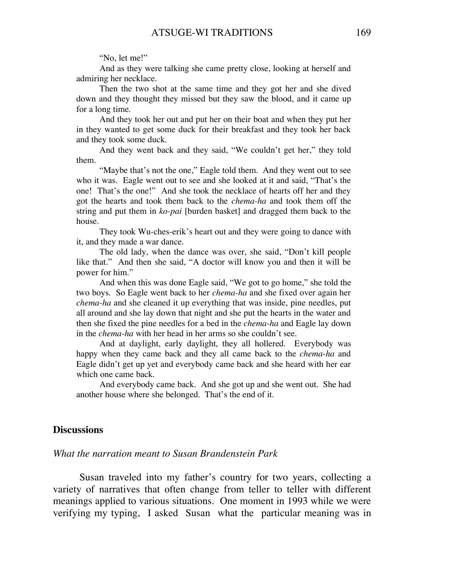#### "No, let me!"

 And as they were talking she came pretty close, looking at herself and admiring her necklace.

 Then the two shot at the same time and they got her and she dived down and they thought they missed but they saw the blood, and it came up for a long time.

 And they took her out and put her on their boat and when they put her in they wanted to get some duck for their breakfast and they took her back and they took some duck.

 And they went back and they said, "We couldn't get her," they told them.

 "Maybe that's not the one," Eagle told them. And they went out to see who it was. Eagle went out to see and she looked at it and said, "That's the one! That's the one!" And she took the necklace of hearts off her and they got the hearts and took them back to the *chema-ha* and took them off the string and put them in *ko-pai* [burden basket] and dragged them back to the house.

They took Wu-ches-erik's heart out and they were going to dance with it, and they made a war dance.

 The old lady, when the dance was over, she said, "Don't kill people like that." And then she said, "A doctor will know you and then it will be power for him."

 And when this was done Eagle said, "We got to go home," she told the two boys. So Eagle went back to her *chema-ha* and she fixed over again her *chema-ha* and she cleaned it up everything that was inside, pine needles, put all around and she lay down that night and she put the hearts in the water and then she fixed the pine needles for a bed in the *chema-ha* and Eagle lay down in the *chema-ha* with her head in her arms so she couldn't see.

 And at daylight, early daylight, they all hollered. Everybody was happy when they came back and they all came back to the *chema-ha* and Eagle didn't get up yet and everybody came back and she heard with her ear which one came back.

 And everybody came back. And she got up and she went out. She had another house where she belonged. That's the end of it.

## **Discussions**

### *What the narration meant to Susan Brandenstein Park*

 Susan traveled into my father's country for two years, collecting a variety of narratives that often change from teller to teller with different meanings applied to various situations. One moment in 1993 while we were verifying my typing, I asked Susan what the particular meaning was in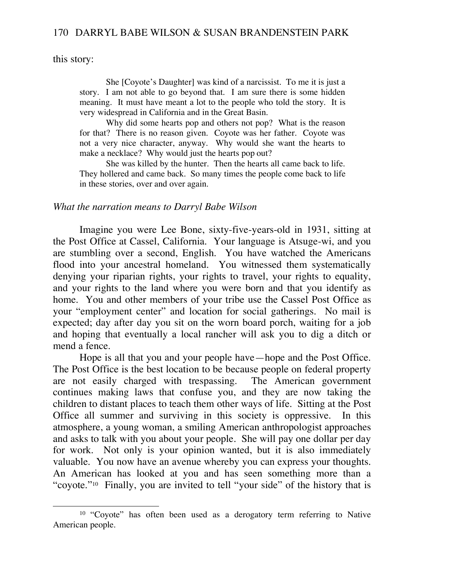this story:

 $\overline{\phantom{a}}$ 

 She [Coyote's Daughter] was kind of a narcissist. To me it is just a story. I am not able to go beyond that. I am sure there is some hidden meaning. It must have meant a lot to the people who told the story. It is very widespread in California and in the Great Basin.

 Why did some hearts pop and others not pop? What is the reason for that? There is no reason given. Coyote was her father. Coyote was not a very nice character, anyway. Why would she want the hearts to make a necklace? Why would just the hearts pop out?

 She was killed by the hunter. Then the hearts all came back to life. They hollered and came back. So many times the people come back to life in these stories, over and over again.

#### *What the narration means to Darryl Babe Wilson*

 Imagine you were Lee Bone, sixty-five-years-old in 1931, sitting at the Post Office at Cassel, California. Your language is Atsuge-wi, and you are stumbling over a second, English. You have watched the Americans flood into your ancestral homeland. You witnessed them systematically denying your riparian rights, your rights to travel, your rights to equality, and your rights to the land where you were born and that you identify as home. You and other members of your tribe use the Cassel Post Office as your "employment center" and location for social gatherings. No mail is expected; day after day you sit on the worn board porch, waiting for a job and hoping that eventually a local rancher will ask you to dig a ditch or mend a fence.

 Hope is all that you and your people have—hope and the Post Office. The Post Office is the best location to be because people on federal property are not easily charged with trespassing. The American government continues making laws that confuse you, and they are now taking the children to distant places to teach them other ways of life. Sitting at the Post Office all summer and surviving in this society is oppressive. In this atmosphere, a young woman, a smiling American anthropologist approaches and asks to talk with you about your people. She will pay one dollar per day for work. Not only is your opinion wanted, but it is also immediately valuable. You now have an avenue whereby you can express your thoughts. An American has looked at you and has seen something more than a "coyote."10 Finally, you are invited to tell "your side" of the history that is

<sup>&</sup>lt;sup>10</sup> "Coyote" has often been used as a derogatory term referring to Native American people.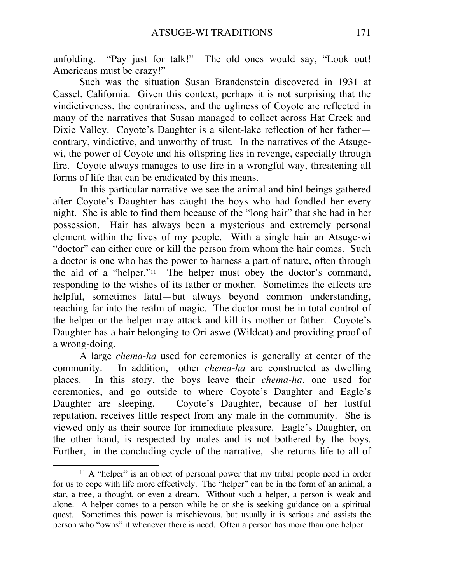unfolding. "Pay just for talk!" The old ones would say, "Look out! Americans must be crazy!"

 Such was the situation Susan Brandenstein discovered in 1931 at Cassel, California. Given this context, perhaps it is not surprising that the vindictiveness, the contrariness, and the ugliness of Coyote are reflected in many of the narratives that Susan managed to collect across Hat Creek and Dixie Valley. Coyote's Daughter is a silent-lake reflection of her father contrary, vindictive, and unworthy of trust. In the narratives of the Atsugewi, the power of Coyote and his offspring lies in revenge, especially through fire. Coyote always manages to use fire in a wrongful way, threatening all forms of life that can be eradicated by this means.

 In this particular narrative we see the animal and bird beings gathered after Coyote's Daughter has caught the boys who had fondled her every night. She is able to find them because of the "long hair" that she had in her possession. Hair has always been a mysterious and extremely personal element within the lives of my people. With a single hair an Atsuge-wi "doctor" can either cure or kill the person from whom the hair comes. Such a doctor is one who has the power to harness a part of nature, often through the aid of a "helper."11 The helper must obey the doctor's command, responding to the wishes of its father or mother. Sometimes the effects are helpful, sometimes fatal—but always beyond common understanding, reaching far into the realm of magic. The doctor must be in total control of the helper or the helper may attack and kill its mother or father. Coyote's Daughter has a hair belonging to Ori-aswe (Wildcat) and providing proof of a wrong-doing.

 A large *chema-ha* used for ceremonies is generally at center of the community. In addition, other *chema-ha* are constructed as dwelling places. In this story, the boys leave their *chema-ha*, one used for ceremonies, and go outside to where Coyote's Daughter and Eagle's Daughter are sleeping. Coyote's Daughter, because of her lustful reputation, receives little respect from any male in the community. She is viewed only as their source for immediate pleasure. Eagle's Daughter, on the other hand, is respected by males and is not bothered by the boys. Further, in the concluding cycle of the narrative, she returns life to all of

<sup>&</sup>lt;sup>11</sup> A "helper" is an object of personal power that my tribal people need in order for us to cope with life more effectively. The "helper" can be in the form of an animal, a star, a tree, a thought, or even a dream. Without such a helper, a person is weak and alone. A helper comes to a person while he or she is seeking guidance on a spiritual quest. Sometimes this power is mischievous, but usually it is serious and assists the person who "owns" it whenever there is need. Often a person has more than one helper.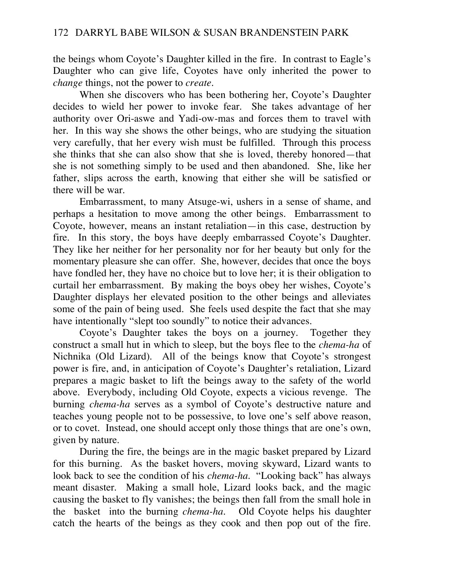the beings whom Coyote's Daughter killed in the fire. In contrast to Eagle's Daughter who can give life, Coyotes have only inherited the power to *change* things, not the power to *create*.

 When she discovers who has been bothering her, Coyote's Daughter decides to wield her power to invoke fear. She takes advantage of her authority over Ori-aswe and Yadi-ow-mas and forces them to travel with her. In this way she shows the other beings, who are studying the situation very carefully, that her every wish must be fulfilled. Through this process she thinks that she can also show that she is loved, thereby honored—that she is not something simply to be used and then abandoned. She, like her father, slips across the earth, knowing that either she will be satisfied or there will be war.

 Embarrassment, to many Atsuge-wi, ushers in a sense of shame, and perhaps a hesitation to move among the other beings. Embarrassment to Coyote, however, means an instant retaliation—in this case, destruction by fire. In this story, the boys have deeply embarrassed Coyote's Daughter. They like her neither for her personality nor for her beauty but only for the momentary pleasure she can offer. She, however, decides that once the boys have fondled her, they have no choice but to love her; it is their obligation to curtail her embarrassment. By making the boys obey her wishes, Coyote's Daughter displays her elevated position to the other beings and alleviates some of the pain of being used. She feels used despite the fact that she may have intentionally "slept too soundly" to notice their advances.

 Coyote's Daughter takes the boys on a journey. Together they construct a small hut in which to sleep, but the boys flee to the *chema-ha* of Nichnika (Old Lizard). All of the beings know that Coyote's strongest power is fire, and, in anticipation of Coyote's Daughter's retaliation, Lizard prepares a magic basket to lift the beings away to the safety of the world above. Everybody, including Old Coyote, expects a vicious revenge. The burning *chema-ha* serves as a symbol of Coyote's destructive nature and teaches young people not to be possessive, to love one's self above reason, or to covet. Instead, one should accept only those things that are one's own, given by nature.

 During the fire, the beings are in the magic basket prepared by Lizard for this burning. As the basket hovers, moving skyward, Lizard wants to look back to see the condition of his *chema-ha*. "Looking back" has always meant disaster. Making a small hole, Lizard looks back, and the magic causing the basket to fly vanishes; the beings then fall from the small hole in the basket into the burning *chema-ha*. Old Coyote helps his daughter catch the hearts of the beings as they cook and then pop out of the fire.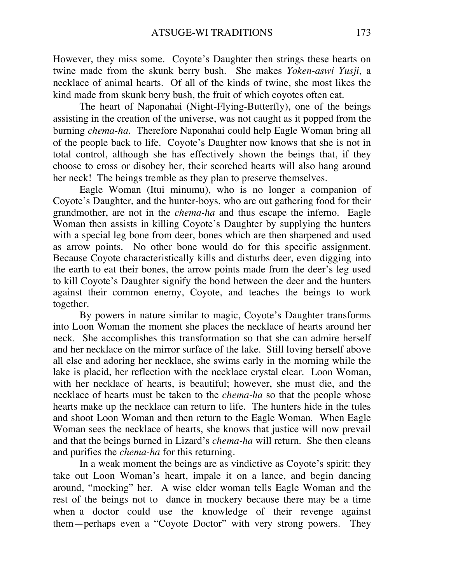However, they miss some. Coyote's Daughter then strings these hearts on twine made from the skunk berry bush. She makes *Yoken-aswi Yusji*, a necklace of animal hearts. Of all of the kinds of twine, she most likes the kind made from skunk berry bush, the fruit of which coyotes often eat.

 The heart of Naponahai (Night-Flying-Butterfly), one of the beings assisting in the creation of the universe, was not caught as it popped from the burning *chema-ha*. Therefore Naponahai could help Eagle Woman bring all of the people back to life. Coyote's Daughter now knows that she is not in total control, although she has effectively shown the beings that, if they choose to cross or disobey her, their scorched hearts will also hang around her neck! The beings tremble as they plan to preserve themselves.

 Eagle Woman (Itui minumu), who is no longer a companion of Coyote's Daughter, and the hunter-boys, who are out gathering food for their grandmother, are not in the *chema-ha* and thus escape the inferno. Eagle Woman then assists in killing Coyote's Daughter by supplying the hunters with a special leg bone from deer, bones which are then sharpened and used as arrow points. No other bone would do for this specific assignment. Because Coyote characteristically kills and disturbs deer, even digging into the earth to eat their bones, the arrow points made from the deer's leg used to kill Coyote's Daughter signify the bond between the deer and the hunters against their common enemy, Coyote, and teaches the beings to work together.

 By powers in nature similar to magic, Coyote's Daughter transforms into Loon Woman the moment she places the necklace of hearts around her neck. She accomplishes this transformation so that she can admire herself and her necklace on the mirror surface of the lake. Still loving herself above all else and adoring her necklace, she swims early in the morning while the lake is placid, her reflection with the necklace crystal clear. Loon Woman, with her necklace of hearts, is beautiful; however, she must die, and the necklace of hearts must be taken to the *chema-ha* so that the people whose hearts make up the necklace can return to life. The hunters hide in the tules and shoot Loon Woman and then return to the Eagle Woman. When Eagle Woman sees the necklace of hearts, she knows that justice will now prevail and that the beings burned in Lizard's *chema-ha* will return. She then cleans and purifies the *chema-ha* for this returning.

 In a weak moment the beings are as vindictive as Coyote's spirit: they take out Loon Woman's heart, impale it on a lance, and begin dancing around, "mocking" her. A wise elder woman tells Eagle Woman and the rest of the beings not to dance in mockery because there may be a time when a doctor could use the knowledge of their revenge against them—perhaps even a "Coyote Doctor" with very strong powers. They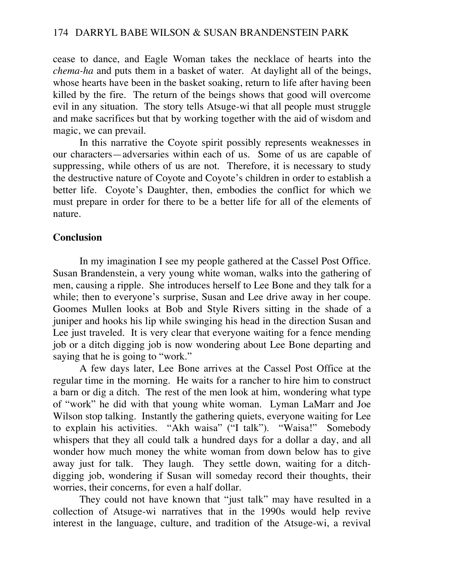cease to dance, and Eagle Woman takes the necklace of hearts into the *chema-ha* and puts them in a basket of water. At daylight all of the beings, whose hearts have been in the basket soaking, return to life after having been killed by the fire. The return of the beings shows that good will overcome evil in any situation. The story tells Atsuge-wi that all people must struggle and make sacrifices but that by working together with the aid of wisdom and magic, we can prevail.

 In this narrative the Coyote spirit possibly represents weaknesses in our characters—adversaries within each of us. Some of us are capable of suppressing, while others of us are not. Therefore, it is necessary to study the destructive nature of Coyote and Coyote's children in order to establish a better life. Coyote's Daughter, then, embodies the conflict for which we must prepare in order for there to be a better life for all of the elements of nature.

# **Conclusion**

 In my imagination I see my people gathered at the Cassel Post Office. Susan Brandenstein, a very young white woman, walks into the gathering of men, causing a ripple. She introduces herself to Lee Bone and they talk for a while; then to everyone's surprise, Susan and Lee drive away in her coupe. Goomes Mullen looks at Bob and Style Rivers sitting in the shade of a juniper and hooks his lip while swinging his head in the direction Susan and Lee just traveled. It is very clear that everyone waiting for a fence mending job or a ditch digging job is now wondering about Lee Bone departing and saying that he is going to "work."

 A few days later, Lee Bone arrives at the Cassel Post Office at the regular time in the morning. He waits for a rancher to hire him to construct a barn or dig a ditch. The rest of the men look at him, wondering what type of "work" he did with that young white woman. Lyman LaMarr and Joe Wilson stop talking. Instantly the gathering quiets, everyone waiting for Lee to explain his activities. "Akh waisa" ("I talk"). "Waisa!" Somebody whispers that they all could talk a hundred days for a dollar a day, and all wonder how much money the white woman from down below has to give away just for talk. They laugh. They settle down, waiting for a ditchdigging job, wondering if Susan will someday record their thoughts, their worries, their concerns, for even a half dollar.

 They could not have known that "just talk" may have resulted in a collection of Atsuge-wi narratives that in the 1990s would help revive interest in the language, culture, and tradition of the Atsuge-wi, a revival